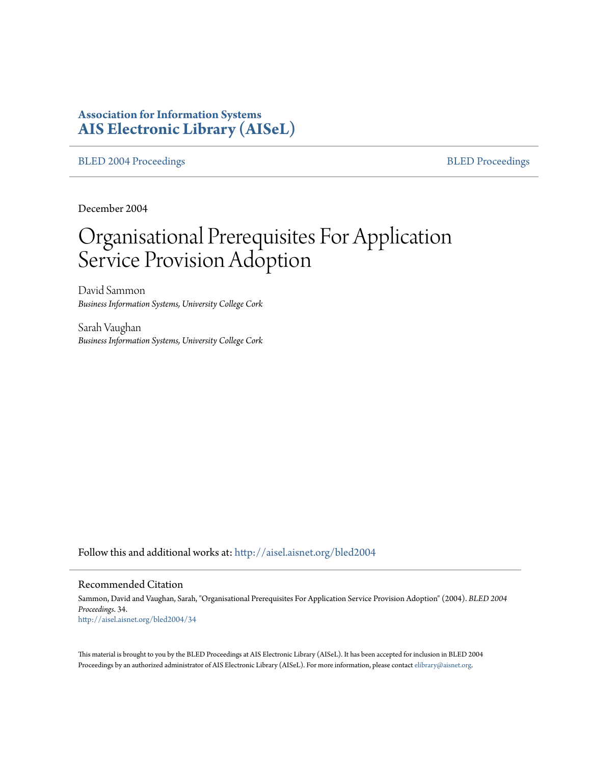# **Association for Information Systems [AIS Electronic Library \(AISeL\)](http://aisel.aisnet.org?utm_source=aisel.aisnet.org%2Fbled2004%2F34&utm_medium=PDF&utm_campaign=PDFCoverPages)**

[BLED 2004 Proceedings](http://aisel.aisnet.org/bled2004?utm_source=aisel.aisnet.org%2Fbled2004%2F34&utm_medium=PDF&utm_campaign=PDFCoverPages) **[BLED Proceedings](http://aisel.aisnet.org/bled?utm_source=aisel.aisnet.org%2Fbled2004%2F34&utm_medium=PDF&utm_campaign=PDFCoverPages)** 

December 2004

# Organisational Prerequisites For Application Service Provision Adoption

David Sammon *Business Information Systems, University College Cork*

Sarah Vaughan *Business Information Systems, University College Cork*

Follow this and additional works at: [http://aisel.aisnet.org/bled2004](http://aisel.aisnet.org/bled2004?utm_source=aisel.aisnet.org%2Fbled2004%2F34&utm_medium=PDF&utm_campaign=PDFCoverPages)

#### Recommended Citation

Sammon, David and Vaughan, Sarah, "Organisational Prerequisites For Application Service Provision Adoption" (2004). *BLED 2004 Proceedings*. 34. [http://aisel.aisnet.org/bled2004/34](http://aisel.aisnet.org/bled2004/34?utm_source=aisel.aisnet.org%2Fbled2004%2F34&utm_medium=PDF&utm_campaign=PDFCoverPages)

This material is brought to you by the BLED Proceedings at AIS Electronic Library (AISeL). It has been accepted for inclusion in BLED 2004 Proceedings by an authorized administrator of AIS Electronic Library (AISeL). For more information, please contact [elibrary@aisnet.org](mailto:elibrary@aisnet.org%3E).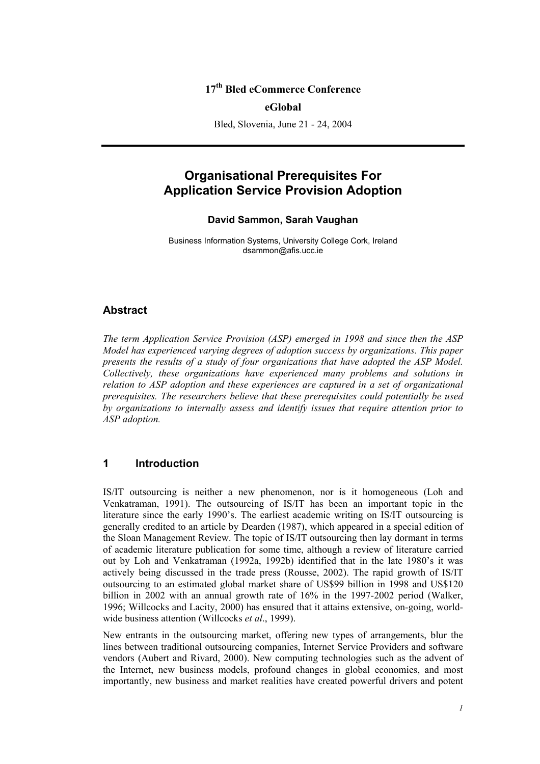## **17th Bled eCommerce Conference**

#### **eGlobal**

Bled, Slovenia, June 21 - 24, 2004

# **Organisational Prerequisites For Application Service Provision Adoption**

#### **David Sammon, Sarah Vaughan**

Business Information Systems, University College Cork, Ireland dsammon@afis.ucc.ie

#### **Abstract**

*The term Application Service Provision (ASP) emerged in 1998 and since then the ASP Model has experienced varying degrees of adoption success by organizations. This paper presents the results of a study of four organizations that have adopted the ASP Model. Collectively, these organizations have experienced many problems and solutions in relation to ASP adoption and these experiences are captured in a set of organizational prerequisites. The researchers believe that these prerequisites could potentially be used by organizations to internally assess and identify issues that require attention prior to ASP adoption.* 

## **1 Introduction**

IS/IT outsourcing is neither a new phenomenon, nor is it homogeneous (Loh and Venkatraman, 1991). The outsourcing of IS/IT has been an important topic in the literature since the early 1990's. The earliest academic writing on IS/IT outsourcing is generally credited to an article by Dearden (1987), which appeared in a special edition of the Sloan Management Review. The topic of IS/IT outsourcing then lay dormant in terms of academic literature publication for some time, although a review of literature carried out by Loh and Venkatraman (1992a, 1992b) identified that in the late 1980's it was actively being discussed in the trade press (Rousse, 2002). The rapid growth of IS/IT outsourcing to an estimated global market share of US\$99 billion in 1998 and US\$120 billion in 2002 with an annual growth rate of 16% in the 1997-2002 period (Walker, 1996; Willcocks and Lacity, 2000) has ensured that it attains extensive, on-going, worldwide business attention (Willcocks *et al*., 1999).

New entrants in the outsourcing market, offering new types of arrangements, blur the lines between traditional outsourcing companies, Internet Service Providers and software vendors (Aubert and Rivard, 2000). New computing technologies such as the advent of the Internet, new business models, profound changes in global economies, and most importantly, new business and market realities have created powerful drivers and potent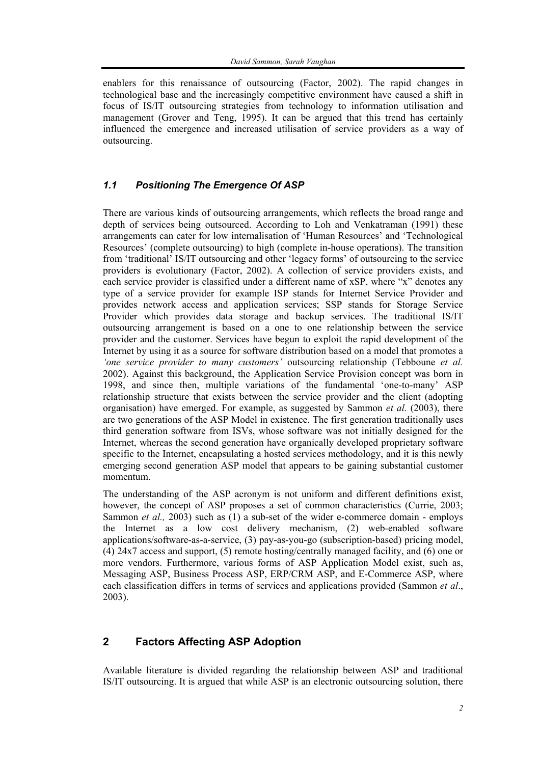enablers for this renaissance of outsourcing (Factor, 2002). The rapid changes in technological base and the increasingly competitive environment have caused a shift in focus of IS/IT outsourcing strategies from technology to information utilisation and management (Grover and Teng, 1995). It can be argued that this trend has certainly influenced the emergence and increased utilisation of service providers as a way of outsourcing.

## *1.1 Positioning The Emergence Of ASP*

There are various kinds of outsourcing arrangements, which reflects the broad range and depth of services being outsourced. According to Loh and Venkatraman (1991) these arrangements can cater for low internalisation of 'Human Resources' and 'Technological Resources' (complete outsourcing) to high (complete in-house operations). The transition from 'traditional' IS/IT outsourcing and other 'legacy forms' of outsourcing to the service providers is evolutionary (Factor, 2002). A collection of service providers exists, and each service provider is classified under a different name of xSP, where "x" denotes any type of a service provider for example ISP stands for Internet Service Provider and provides network access and application services; SSP stands for Storage Service Provider which provides data storage and backup services. The traditional IS/IT outsourcing arrangement is based on a one to one relationship between the service provider and the customer. Services have begun to exploit the rapid development of the Internet by using it as a source for software distribution based on a model that promotes a *'one service provider to many customers'* outsourcing relationship (Tebboune *et al.*  2002). Against this background, the Application Service Provision concept was born in 1998, and since then, multiple variations of the fundamental 'one-to-many' ASP relationship structure that exists between the service provider and the client (adopting organisation) have emerged. For example, as suggested by Sammon *et al.* (2003), there are two generations of the ASP Model in existence. The first generation traditionally uses third generation software from ISVs, whose software was not initially designed for the Internet, whereas the second generation have organically developed proprietary software specific to the Internet, encapsulating a hosted services methodology, and it is this newly emerging second generation ASP model that appears to be gaining substantial customer momentum.

The understanding of the ASP acronym is not uniform and different definitions exist, however, the concept of ASP proposes a set of common characteristics (Currie, 2003; Sammon *et al.*, 2003) such as (1) a sub-set of the wider e-commerce domain - employs the Internet as a low cost delivery mechanism, (2) web-enabled software applications/software-as-a-service, (3) pay-as-you-go (subscription-based) pricing model, (4) 24x7 access and support, (5) remote hosting/centrally managed facility, and (6) one or more vendors. Furthermore, various forms of ASP Application Model exist, such as, Messaging ASP, Business Process ASP, ERP/CRM ASP, and E-Commerce ASP, where each classification differs in terms of services and applications provided (Sammon *et al*., 2003).

# **2 Factors Affecting ASP Adoption**

Available literature is divided regarding the relationship between ASP and traditional IS/IT outsourcing. It is argued that while ASP is an electronic outsourcing solution, there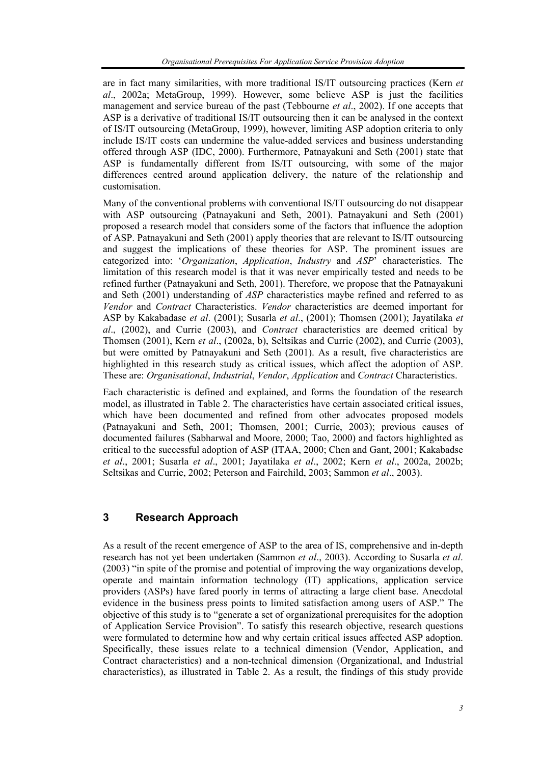are in fact many similarities, with more traditional IS/IT outsourcing practices (Kern *et al*., 2002a; MetaGroup, 1999). However, some believe ASP is just the facilities management and service bureau of the past (Tebbourne *et al*., 2002). If one accepts that ASP is a derivative of traditional IS/IT outsourcing then it can be analysed in the context of IS/IT outsourcing (MetaGroup, 1999), however, limiting ASP adoption criteria to only include IS/IT costs can undermine the value-added services and business understanding offered through ASP (IDC, 2000). Furthermore, Patnayakuni and Seth (2001) state that ASP is fundamentally different from IS/IT outsourcing, with some of the major differences centred around application delivery, the nature of the relationship and customisation.

Many of the conventional problems with conventional IS/IT outsourcing do not disappear with ASP outsourcing (Patnayakuni and Seth, 2001). Patnayakuni and Seth (2001) proposed a research model that considers some of the factors that influence the adoption of ASP. Patnayakuni and Seth (2001) apply theories that are relevant to IS/IT outsourcing and suggest the implications of these theories for ASP. The prominent issues are categorized into: '*Organization*, *Application*, *Industry* and *ASP*' characteristics. The limitation of this research model is that it was never empirically tested and needs to be refined further (Patnayakuni and Seth, 2001). Therefore, we propose that the Patnayakuni and Seth (2001) understanding of *ASP* characteristics maybe refined and referred to as *Vendor* and *Contract* Characteristics. *Vendor* characteristics are deemed important for ASP by Kakabadase *et al*. (2001); Susarla *et al*., (2001); Thomsen (2001); Jayatilaka *et al*., (2002), and Currie (2003), and *Contract* characteristics are deemed critical by Thomsen (2001), Kern *et al*., (2002a, b), Seltsikas and Currie (2002), and Currie (2003), but were omitted by Patnayakuni and Seth (2001). As a result, five characteristics are highlighted in this research study as critical issues, which affect the adoption of ASP. These are: *Organisational*, *Industrial*, *Vendor*, *Application* and *Contract* Characteristics.

Each characteristic is defined and explained, and forms the foundation of the research model, as illustrated in Table 2. The characteristics have certain associated critical issues, which have been documented and refined from other advocates proposed models (Patnayakuni and Seth, 2001; Thomsen, 2001; Currie, 2003); previous causes of documented failures (Sabharwal and Moore, 2000; Tao, 2000) and factors highlighted as critical to the successful adoption of ASP (ITAA, 2000; Chen and Gant, 2001; Kakabadse *et al*., 2001; Susarla *et al*., 2001; Jayatilaka *et al*., 2002; Kern *et al*., 2002a, 2002b; Seltsikas and Currie, 2002; Peterson and Fairchild, 2003; Sammon *et al*., 2003).

# **3 Research Approach**

As a result of the recent emergence of ASP to the area of IS, comprehensive and in-depth research has not yet been undertaken (Sammon *et al*., 2003). According to Susarla *et al*. (2003) "in spite of the promise and potential of improving the way organizations develop, operate and maintain information technology (IT) applications, application service providers (ASPs) have fared poorly in terms of attracting a large client base. Anecdotal evidence in the business press points to limited satisfaction among users of ASP." The objective of this study is to "generate a set of organizational prerequisites for the adoption of Application Service Provision". To satisfy this research objective, research questions were formulated to determine how and why certain critical issues affected ASP adoption. Specifically, these issues relate to a technical dimension (Vendor, Application, and Contract characteristics) and a non-technical dimension (Organizational, and Industrial characteristics), as illustrated in Table 2. As a result, the findings of this study provide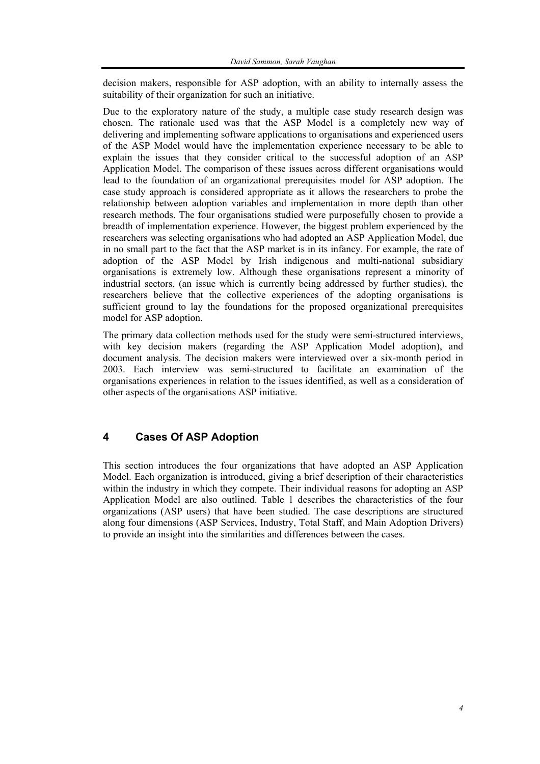decision makers, responsible for ASP adoption, with an ability to internally assess the suitability of their organization for such an initiative.

Due to the exploratory nature of the study, a multiple case study research design was chosen. The rationale used was that the ASP Model is a completely new way of delivering and implementing software applications to organisations and experienced users of the ASP Model would have the implementation experience necessary to be able to explain the issues that they consider critical to the successful adoption of an ASP Application Model. The comparison of these issues across different organisations would lead to the foundation of an organizational prerequisites model for ASP adoption. The case study approach is considered appropriate as it allows the researchers to probe the relationship between adoption variables and implementation in more depth than other research methods. The four organisations studied were purposefully chosen to provide a breadth of implementation experience. However, the biggest problem experienced by the researchers was selecting organisations who had adopted an ASP Application Model, due in no small part to the fact that the ASP market is in its infancy. For example, the rate of adoption of the ASP Model by Irish indigenous and multi-national subsidiary organisations is extremely low. Although these organisations represent a minority of industrial sectors, (an issue which is currently being addressed by further studies), the researchers believe that the collective experiences of the adopting organisations is sufficient ground to lay the foundations for the proposed organizational prerequisites model for ASP adoption.

The primary data collection methods used for the study were semi-structured interviews, with key decision makers (regarding the ASP Application Model adoption), and document analysis. The decision makers were interviewed over a six-month period in 2003. Each interview was semi-structured to facilitate an examination of the organisations experiences in relation to the issues identified, as well as a consideration of other aspects of the organisations ASP initiative.

# **4 Cases Of ASP Adoption**

This section introduces the four organizations that have adopted an ASP Application Model. Each organization is introduced, giving a brief description of their characteristics within the industry in which they compete. Their individual reasons for adopting an ASP Application Model are also outlined. Table 1 describes the characteristics of the four organizations (ASP users) that have been studied. The case descriptions are structured along four dimensions (ASP Services, Industry, Total Staff, and Main Adoption Drivers) to provide an insight into the similarities and differences between the cases.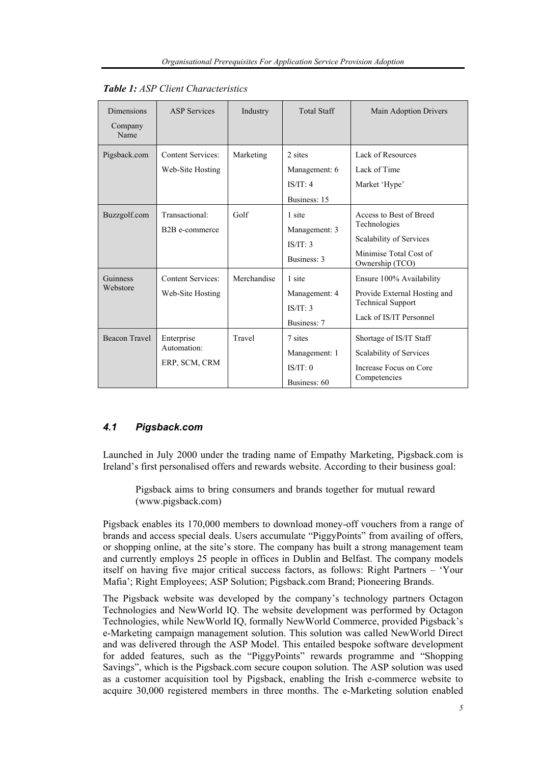| <b>Dimensions</b><br>Company<br>Name | <b>ASP Services</b>                           | Industry    | <b>Total Staff</b>                                   | <b>Main Adoption Drivers</b>                                                                                    |
|--------------------------------------|-----------------------------------------------|-------------|------------------------------------------------------|-----------------------------------------------------------------------------------------------------------------|
| Pigsback.com                         | <b>Content Services:</b><br>Web-Site Hosting  | Marketing   | 2 sites<br>Management: 6<br>IS/IT: 4<br>Business: 15 | Lack of Resources<br>Lack of Time<br>Market 'Hype'                                                              |
| Buzzgolf.com                         | Transactional:<br>B <sub>2</sub> B e-commerce | Golf        | 1 site<br>Management: 3<br>IS/IT: 3<br>Business: 3   | Access to Best of Breed<br>Technologies<br>Scalability of Services<br>Minimise Total Cost of<br>Ownership (TCO) |
| Guinness<br>Webstore                 | <b>Content Services:</b><br>Web-Site Hosting  | Merchandise | 1 site<br>Management: 4<br>IS/IT: 3<br>Business: 7   | Ensure 100% Availability<br>Provide External Hosting and<br><b>Technical Support</b><br>Lack of IS/IT Personnel |
| <b>Beacon Travel</b>                 | Enterprise<br>Automation:<br>ERP, SCM, CRM    | Travel      | 7 sites<br>Management: 1<br>IS/IT: 0<br>Business: 60 | Shortage of IS/IT Staff<br>Scalability of Services<br>Increase Focus on Core<br>Competencies                    |

|  |  |  |  |  | <b>Table 1:</b> ASP Client Characteristics |
|--|--|--|--|--|--------------------------------------------|
|--|--|--|--|--|--------------------------------------------|

#### *4.1 Pigsback.com*

Launched in July 2000 under the trading name of Empathy Marketing, Pigsback.com is Ireland's first personalised offers and rewards website. According to their business goal:

Pigsback aims to bring consumers and brands together for mutual reward (www.pigsback.com)

Pigsback enables its 170,000 members to download money-off vouchers from a range of brands and access special deals. Users accumulate "PiggyPoints" from availing of offers, or shopping online, at the site's store. The company has built a strong management team and currently employs 25 people in offices in Dublin and Belfast. The company models itself on having five major critical success factors, as follows: Right Partners – 'Your Mafia'; Right Employees; ASP Solution; Pigsback.com Brand; Pioneering Brands.

The Pigsback website was developed by the company's technology partners Octagon Technologies and NewWorld IQ. The website development was performed by Octagon Technologies, while NewWorld IQ, formally NewWorld Commerce, provided Pigsback's e-Marketing campaign management solution. This solution was called NewWorld Direct and was delivered through the ASP Model. This entailed bespoke software development for added features, such as the "PiggyPoints" rewards programme and "Shopping Savings", which is the Pigsback.com secure coupon solution. The ASP solution was used as a customer acquisition tool by Pigsback, enabling the Irish e-commerce website to acquire 30,000 registered members in three months. The e-Marketing solution enabled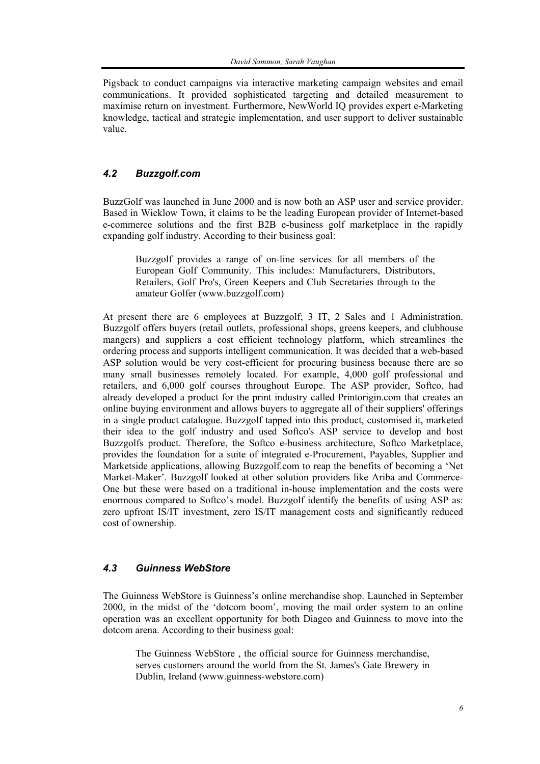Pigsback to conduct campaigns via interactive marketing campaign websites and email communications. It provided sophisticated targeting and detailed measurement to maximise return on investment. Furthermore, NewWorld IQ provides expert e-Marketing knowledge, tactical and strategic implementation, and user support to deliver sustainable value.

## *4.2 Buzzgolf.com*

BuzzGolf was launched in June 2000 and is now both an ASP user and service provider. Based in Wicklow Town, it claims to be the leading European provider of Internet-based e-commerce solutions and the first B2B e-business golf marketplace in the rapidly expanding golf industry. According to their business goal:

Buzzgolf provides a range of on-line services for all members of the European Golf Community. This includes: Manufacturers, Distributors, Retailers, Golf Pro's, Green Keepers and Club Secretaries through to the amateur Golfer (www.buzzgolf.com)

At present there are 6 employees at Buzzgolf; 3 IT, 2 Sales and 1 Administration. Buzzgolf offers buyers (retail outlets, professional shops, greens keepers, and clubhouse mangers) and suppliers a cost efficient technology platform, which streamlines the ordering process and supports intelligent communication. It was decided that a web-based ASP solution would be very cost-efficient for procuring business because there are so many small businesses remotely located. For example, 4,000 golf professional and retailers, and 6,000 golf courses throughout Europe. The ASP provider, Softco, had already developed a product for the print industry called Printorigin.com that creates an online buying environment and allows buyers to aggregate all of their suppliers' offerings in a single product catalogue. Buzzgolf tapped into this product, customised it, marketed their idea to the golf industry and used Softco's ASP service to develop and host Buzzgolfs product. Therefore, the Softco e-business architecture, Softco Marketplace, provides the foundation for a suite of integrated e-Procurement, Payables, Supplier and Marketside applications, allowing Buzzgolf.com to reap the benefits of becoming a 'Net Market-Maker'. Buzzgolf looked at other solution providers like Ariba and Commerce-One but these were based on a traditional in-house implementation and the costs were enormous compared to Softco's model. Buzzgolf identify the benefits of using ASP as: zero upfront IS/IT investment, zero IS/IT management costs and significantly reduced cost of ownership.

#### *4.3 Guinness WebStore*

The Guinness WebStore is Guinness's online merchandise shop. Launched in September 2000, in the midst of the 'dotcom boom', moving the mail order system to an online operation was an excellent opportunity for both Diageo and Guinness to move into the dotcom arena. According to their business goal:

The Guinness WebStore , the official source for Guinness merchandise, serves customers around the world from the St. James's Gate Brewery in Dublin, Ireland (www.guinness-webstore.com)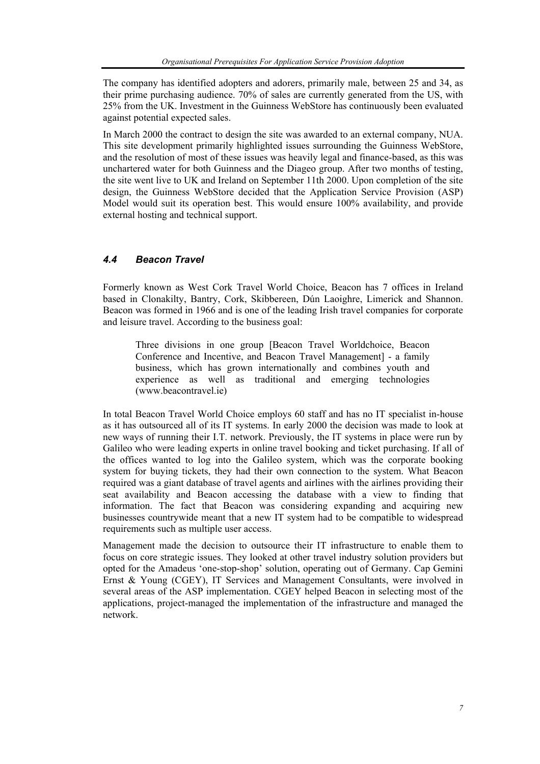The company has identified adopters and adorers, primarily male, between 25 and 34, as their prime purchasing audience. 70% of sales are currently generated from the US, with 25% from the UK. Investment in the Guinness WebStore has continuously been evaluated against potential expected sales.

In March 2000 the contract to design the site was awarded to an external company, NUA. This site development primarily highlighted issues surrounding the Guinness WebStore, and the resolution of most of these issues was heavily legal and finance-based, as this was unchartered water for both Guinness and the Diageo group. After two months of testing, the site went live to UK and Ireland on September 11th 2000. Upon completion of the site design, the Guinness WebStore decided that the Application Service Provision (ASP) Model would suit its operation best. This would ensure 100% availability, and provide external hosting and technical support.

#### *4.4 Beacon Travel*

Formerly known as West Cork Travel World Choice, Beacon has 7 offices in Ireland based in Clonakilty, Bantry, Cork, Skibbereen, Dún Laoighre, Limerick and Shannon. Beacon was formed in 1966 and is one of the leading Irish travel companies for corporate and leisure travel. According to the business goal:

Three divisions in one group [Beacon Travel Worldchoice, Beacon Conference and Incentive, and Beacon Travel Management] - a family business, which has grown internationally and combines youth and experience as well as traditional and emerging technologies (www.beacontravel.ie)

In total Beacon Travel World Choice employs 60 staff and has no IT specialist in-house as it has outsourced all of its IT systems. In early 2000 the decision was made to look at new ways of running their I.T. network. Previously, the IT systems in place were run by Galileo who were leading experts in online travel booking and ticket purchasing. If all of the offices wanted to log into the Galileo system, which was the corporate booking system for buying tickets, they had their own connection to the system. What Beacon required was a giant database of travel agents and airlines with the airlines providing their seat availability and Beacon accessing the database with a view to finding that information. The fact that Beacon was considering expanding and acquiring new businesses countrywide meant that a new IT system had to be compatible to widespread requirements such as multiple user access.

Management made the decision to outsource their IT infrastructure to enable them to focus on core strategic issues. They looked at other travel industry solution providers but opted for the Amadeus 'one-stop-shop' solution, operating out of Germany. Cap Gemini Ernst & Young (CGEY), IT Services and Management Consultants, were involved in several areas of the ASP implementation. CGEY helped Beacon in selecting most of the applications, project-managed the implementation of the infrastructure and managed the network.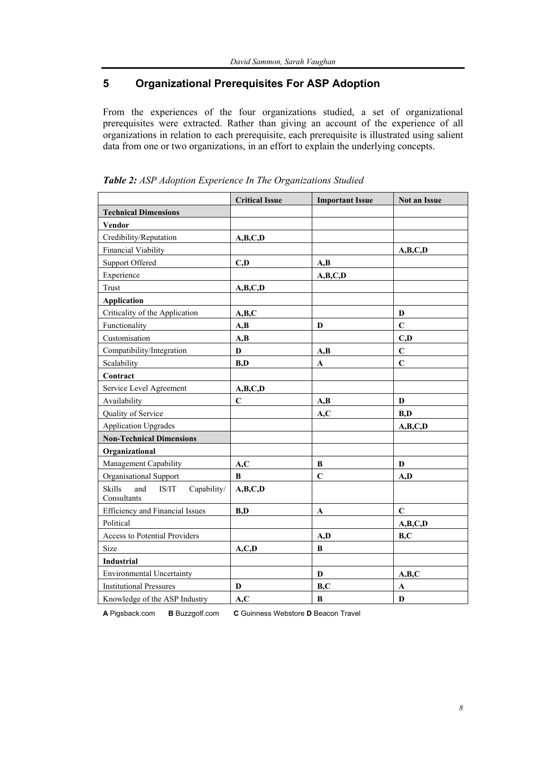# **5 Organizational Prerequisites For ASP Adoption**

From the experiences of the four organizations studied, a set of organizational prerequisites were extracted. Rather than giving an account of the experience of all organizations in relation to each prerequisite, each prerequisite is illustrated using salient data from one or two organizations, in an effort to explain the underlying concepts.

|                                                      | <b>Critical Issue</b> | <b>Important Issue</b> | Not an Issue |
|------------------------------------------------------|-----------------------|------------------------|--------------|
| <b>Technical Dimensions</b>                          |                       |                        |              |
| <b>Vendor</b>                                        |                       |                        |              |
| Credibility/Reputation                               | A, B, C, D            |                        |              |
| <b>Financial Viability</b>                           |                       |                        | A,B,C,D      |
| <b>Support Offered</b>                               | C,D                   | A,B                    |              |
| Experience                                           |                       | A,B,C,D                |              |
| Trust                                                | A,B,C,D               |                        |              |
| <b>Application</b>                                   |                       |                        |              |
| Criticality of the Application                       | A,B,C                 |                        | D            |
| Functionality                                        | A,B                   | D                      | $\mathbf C$  |
| Customisation                                        | A,B                   |                        | C,D          |
| Compatibility/Integration                            | $\mathbf D$           | A,B                    | $\mathbf C$  |
| Scalability                                          | B,D                   | A                      | $\mathbf C$  |
| Contract                                             |                       |                        |              |
| Service Level Agreement                              | A,B,C,D               |                        |              |
| Availability                                         | $\mathbf C$           | A,B                    | D            |
| Quality of Service                                   |                       | A, C                   | B.D          |
| <b>Application Upgrades</b>                          |                       |                        | A,B,C,D      |
| <b>Non-Technical Dimensions</b>                      |                       |                        |              |
| Organizational                                       |                       |                        |              |
| Management Capability                                | A, C                  | B                      | D            |
| Organisational Support                               | $\bf{B}$              | $\mathbf C$            | A,D          |
| Skills<br>and<br>Capability/<br>IS/IT<br>Consultants | A,B,C,D               |                        |              |
| Efficiency and Financial Issues                      | B,D                   | A                      | $\mathbf C$  |
| Political                                            |                       |                        | A,B,C,D      |
| Access to Potential Providers                        |                       | A,D                    | B, C         |
| Size                                                 | A, C, D               | B                      |              |
| <b>Industrial</b>                                    |                       |                        |              |
| <b>Environmental Uncertainty</b>                     |                       | D                      | A,B,C        |
| <b>Institutional Pressures</b>                       | D                     | B, C                   | $\mathbf A$  |
| Knowledge of the ASP Industry                        | A, C                  | $\bf{B}$               | $\mathbf{D}$ |

*Table 2: ASP Adoption Experience In The Organizations Studied* 

**A** Pigsback.com **B** Buzzgolf.com **C** Guinness Webstore **D** Beacon Travel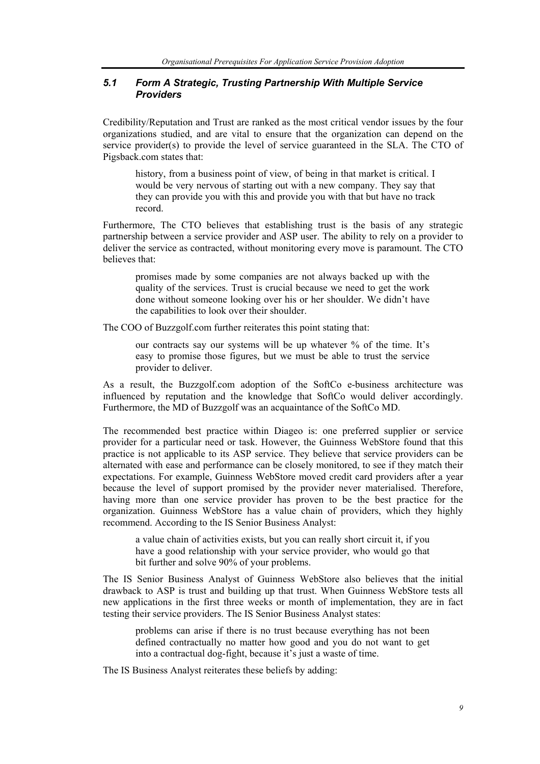#### *5.1 Form A Strategic, Trusting Partnership With Multiple Service Providers*

Credibility/Reputation and Trust are ranked as the most critical vendor issues by the four organizations studied, and are vital to ensure that the organization can depend on the service provider(s) to provide the level of service guaranteed in the SLA. The CTO of Pigsback.com states that:

history, from a business point of view, of being in that market is critical. I would be very nervous of starting out with a new company. They say that they can provide you with this and provide you with that but have no track record.

Furthermore, The CTO believes that establishing trust is the basis of any strategic partnership between a service provider and ASP user. The ability to rely on a provider to deliver the service as contracted, without monitoring every move is paramount. The CTO believes that:

promises made by some companies are not always backed up with the quality of the services. Trust is crucial because we need to get the work done without someone looking over his or her shoulder. We didn't have the capabilities to look over their shoulder.

The COO of Buzzgolf.com further reiterates this point stating that:

our contracts say our systems will be up whatever % of the time. It's easy to promise those figures, but we must be able to trust the service provider to deliver.

As a result, the Buzzgolf.com adoption of the SoftCo e-business architecture was influenced by reputation and the knowledge that SoftCo would deliver accordingly. Furthermore, the MD of Buzzgolf was an acquaintance of the SoftCo MD.

The recommended best practice within Diageo is: one preferred supplier or service provider for a particular need or task. However, the Guinness WebStore found that this practice is not applicable to its ASP service. They believe that service providers can be alternated with ease and performance can be closely monitored, to see if they match their expectations. For example, Guinness WebStore moved credit card providers after a year because the level of support promised by the provider never materialised. Therefore, having more than one service provider has proven to be the best practice for the organization. Guinness WebStore has a value chain of providers, which they highly recommend. According to the IS Senior Business Analyst:

a value chain of activities exists, but you can really short circuit it, if you have a good relationship with your service provider, who would go that bit further and solve 90% of your problems.

The IS Senior Business Analyst of Guinness WebStore also believes that the initial drawback to ASP is trust and building up that trust. When Guinness WebStore tests all new applications in the first three weeks or month of implementation, they are in fact testing their service providers. The IS Senior Business Analyst states:

problems can arise if there is no trust because everything has not been defined contractually no matter how good and you do not want to get into a contractual dog-fight, because it's just a waste of time.

The IS Business Analyst reiterates these beliefs by adding: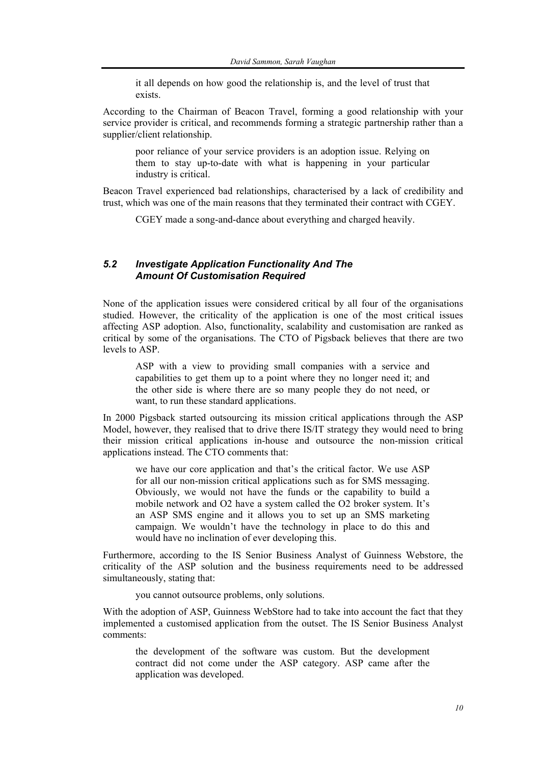it all depends on how good the relationship is, and the level of trust that exists.

According to the Chairman of Beacon Travel, forming a good relationship with your service provider is critical, and recommends forming a strategic partnership rather than a supplier/client relationship.

poor reliance of your service providers is an adoption issue. Relying on them to stay up-to-date with what is happening in your particular industry is critical.

Beacon Travel experienced bad relationships, characterised by a lack of credibility and trust, which was one of the main reasons that they terminated their contract with CGEY.

CGEY made a song-and-dance about everything and charged heavily.

#### *5.2 Investigate Application Functionality And The Amount Of Customisation Required*

None of the application issues were considered critical by all four of the organisations studied. However, the criticality of the application is one of the most critical issues affecting ASP adoption. Also, functionality, scalability and customisation are ranked as critical by some of the organisations. The CTO of Pigsback believes that there are two levels to ASP.

ASP with a view to providing small companies with a service and capabilities to get them up to a point where they no longer need it; and the other side is where there are so many people they do not need, or want, to run these standard applications.

In 2000 Pigsback started outsourcing its mission critical applications through the ASP Model, however, they realised that to drive there IS/IT strategy they would need to bring their mission critical applications in-house and outsource the non-mission critical applications instead. The CTO comments that:

we have our core application and that's the critical factor. We use ASP for all our non-mission critical applications such as for SMS messaging. Obviously, we would not have the funds or the capability to build a mobile network and O2 have a system called the O2 broker system. It's an ASP SMS engine and it allows you to set up an SMS marketing campaign. We wouldn't have the technology in place to do this and would have no inclination of ever developing this.

Furthermore, according to the IS Senior Business Analyst of Guinness Webstore, the criticality of the ASP solution and the business requirements need to be addressed simultaneously, stating that:

you cannot outsource problems, only solutions.

With the adoption of ASP, Guinness WebStore had to take into account the fact that they implemented a customised application from the outset. The IS Senior Business Analyst comments:

the development of the software was custom. But the development contract did not come under the ASP category. ASP came after the application was developed.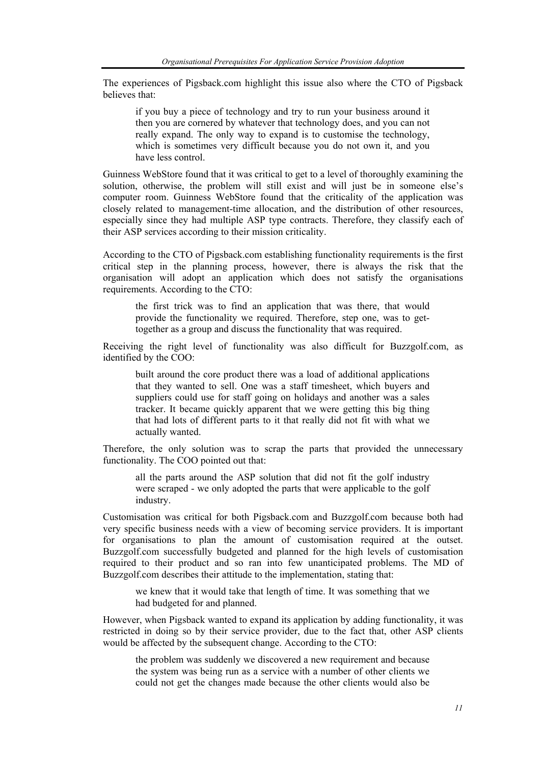The experiences of Pigsback.com highlight this issue also where the CTO of Pigsback believes that:

if you buy a piece of technology and try to run your business around it then you are cornered by whatever that technology does, and you can not really expand. The only way to expand is to customise the technology, which is sometimes very difficult because you do not own it, and you have less control.

Guinness WebStore found that it was critical to get to a level of thoroughly examining the solution, otherwise, the problem will still exist and will just be in someone else's computer room. Guinness WebStore found that the criticality of the application was closely related to management-time allocation, and the distribution of other resources, especially since they had multiple ASP type contracts. Therefore, they classify each of their ASP services according to their mission criticality.

According to the CTO of Pigsback.com establishing functionality requirements is the first critical step in the planning process, however, there is always the risk that the organisation will adopt an application which does not satisfy the organisations requirements. According to the CTO:

the first trick was to find an application that was there, that would provide the functionality we required. Therefore, step one, was to gettogether as a group and discuss the functionality that was required.

Receiving the right level of functionality was also difficult for Buzzgolf.com, as identified by the COO:

built around the core product there was a load of additional applications that they wanted to sell. One was a staff timesheet, which buyers and suppliers could use for staff going on holidays and another was a sales tracker. It became quickly apparent that we were getting this big thing that had lots of different parts to it that really did not fit with what we actually wanted.

Therefore, the only solution was to scrap the parts that provided the unnecessary functionality. The COO pointed out that:

all the parts around the ASP solution that did not fit the golf industry were scraped - we only adopted the parts that were applicable to the golf industry.

Customisation was critical for both Pigsback.com and Buzzgolf.com because both had very specific business needs with a view of becoming service providers. It is important for organisations to plan the amount of customisation required at the outset. Buzzgolf.com successfully budgeted and planned for the high levels of customisation required to their product and so ran into few unanticipated problems. The MD of Buzzgolf.com describes their attitude to the implementation, stating that:

we knew that it would take that length of time. It was something that we had budgeted for and planned.

However, when Pigsback wanted to expand its application by adding functionality, it was restricted in doing so by their service provider, due to the fact that, other ASP clients would be affected by the subsequent change. According to the CTO:

the problem was suddenly we discovered a new requirement and because the system was being run as a service with a number of other clients we could not get the changes made because the other clients would also be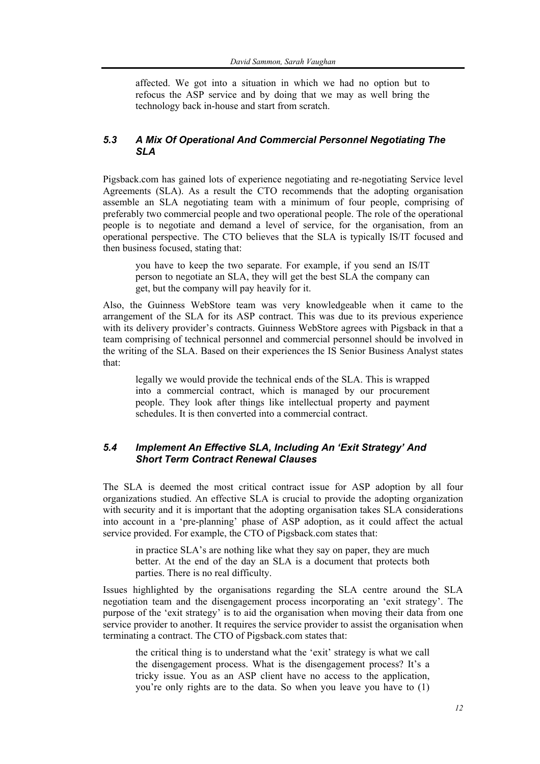affected. We got into a situation in which we had no option but to refocus the ASP service and by doing that we may as well bring the technology back in-house and start from scratch.

#### *5.3 A Mix Of Operational And Commercial Personnel Negotiating The SLA*

Pigsback.com has gained lots of experience negotiating and re-negotiating Service level Agreements (SLA). As a result the CTO recommends that the adopting organisation assemble an SLA negotiating team with a minimum of four people, comprising of preferably two commercial people and two operational people. The role of the operational people is to negotiate and demand a level of service, for the organisation, from an operational perspective. The CTO believes that the SLA is typically IS/IT focused and then business focused, stating that:

you have to keep the two separate. For example, if you send an IS/IT person to negotiate an SLA, they will get the best SLA the company can get, but the company will pay heavily for it.

Also, the Guinness WebStore team was very knowledgeable when it came to the arrangement of the SLA for its ASP contract. This was due to its previous experience with its delivery provider's contracts. Guinness WebStore agrees with Pigsback in that a team comprising of technical personnel and commercial personnel should be involved in the writing of the SLA. Based on their experiences the IS Senior Business Analyst states that:

legally we would provide the technical ends of the SLA. This is wrapped into a commercial contract, which is managed by our procurement people. They look after things like intellectual property and payment schedules. It is then converted into a commercial contract.

#### *5.4 Implement An Effective SLA, Including An 'Exit Strategy' And Short Term Contract Renewal Clauses*

The SLA is deemed the most critical contract issue for ASP adoption by all four organizations studied. An effective SLA is crucial to provide the adopting organization with security and it is important that the adopting organisation takes SLA considerations into account in a 'pre-planning' phase of ASP adoption, as it could affect the actual service provided. For example, the CTO of Pigsback.com states that:

in practice SLA's are nothing like what they say on paper, they are much better. At the end of the day an SLA is a document that protects both parties. There is no real difficulty.

Issues highlighted by the organisations regarding the SLA centre around the SLA negotiation team and the disengagement process incorporating an 'exit strategy'. The purpose of the 'exit strategy' is to aid the organisation when moving their data from one service provider to another. It requires the service provider to assist the organisation when terminating a contract. The CTO of Pigsback.com states that:

the critical thing is to understand what the 'exit' strategy is what we call the disengagement process. What is the disengagement process? It's a tricky issue. You as an ASP client have no access to the application, you're only rights are to the data. So when you leave you have to (1)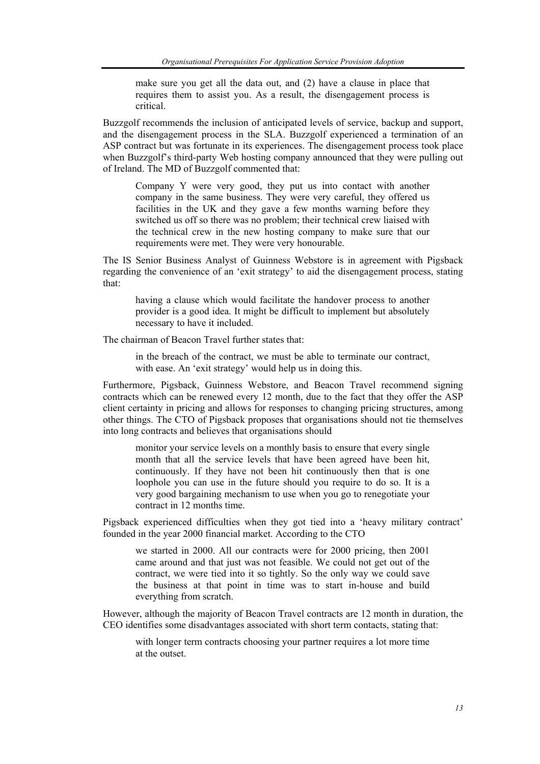make sure you get all the data out, and (2) have a clause in place that requires them to assist you. As a result, the disengagement process is critical.

Buzzgolf recommends the inclusion of anticipated levels of service, backup and support, and the disengagement process in the SLA. Buzzgolf experienced a termination of an ASP contract but was fortunate in its experiences. The disengagement process took place when Buzzgolf's third-party Web hosting company announced that they were pulling out of Ireland. The MD of Buzzgolf commented that:

Company Y were very good, they put us into contact with another company in the same business. They were very careful, they offered us facilities in the UK and they gave a few months warning before they switched us off so there was no problem; their technical crew liaised with the technical crew in the new hosting company to make sure that our requirements were met. They were very honourable.

The IS Senior Business Analyst of Guinness Webstore is in agreement with Pigsback regarding the convenience of an 'exit strategy' to aid the disengagement process, stating that:

having a clause which would facilitate the handover process to another provider is a good idea. It might be difficult to implement but absolutely necessary to have it included.

The chairman of Beacon Travel further states that:

in the breach of the contract, we must be able to terminate our contract, with ease. An 'exit strategy' would help us in doing this.

Furthermore, Pigsback, Guinness Webstore, and Beacon Travel recommend signing contracts which can be renewed every 12 month, due to the fact that they offer the ASP client certainty in pricing and allows for responses to changing pricing structures, among other things. The CTO of Pigsback proposes that organisations should not tie themselves into long contracts and believes that organisations should

monitor your service levels on a monthly basis to ensure that every single month that all the service levels that have been agreed have been hit, continuously. If they have not been hit continuously then that is one loophole you can use in the future should you require to do so. It is a very good bargaining mechanism to use when you go to renegotiate your contract in 12 months time.

Pigsback experienced difficulties when they got tied into a 'heavy military contract' founded in the year 2000 financial market. According to the CTO

we started in 2000. All our contracts were for 2000 pricing, then 2001 came around and that just was not feasible. We could not get out of the contract, we were tied into it so tightly. So the only way we could save the business at that point in time was to start in-house and build everything from scratch.

However, although the majority of Beacon Travel contracts are 12 month in duration, the CEO identifies some disadvantages associated with short term contacts, stating that:

with longer term contracts choosing your partner requires a lot more time at the outset.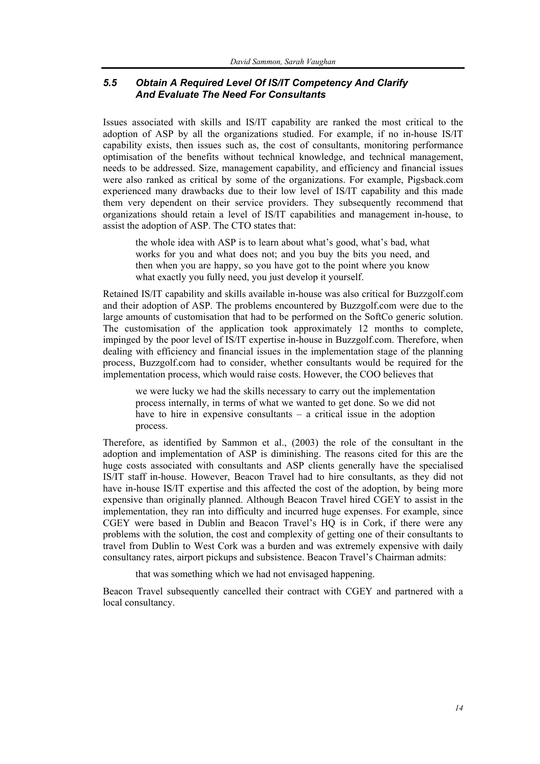## *5.5 Obtain A Required Level Of IS/IT Competency And Clarify And Evaluate The Need For Consultants*

Issues associated with skills and IS/IT capability are ranked the most critical to the adoption of ASP by all the organizations studied. For example, if no in-house IS/IT capability exists, then issues such as, the cost of consultants, monitoring performance optimisation of the benefits without technical knowledge, and technical management, needs to be addressed. Size, management capability, and efficiency and financial issues were also ranked as critical by some of the organizations. For example, Pigsback.com experienced many drawbacks due to their low level of IS/IT capability and this made them very dependent on their service providers. They subsequently recommend that organizations should retain a level of IS/IT capabilities and management in-house, to assist the adoption of ASP. The CTO states that:

the whole idea with ASP is to learn about what's good, what's bad, what works for you and what does not; and you buy the bits you need, and then when you are happy, so you have got to the point where you know what exactly you fully need, you just develop it yourself.

Retained IS/IT capability and skills available in-house was also critical for Buzzgolf.com and their adoption of ASP. The problems encountered by Buzzgolf.com were due to the large amounts of customisation that had to be performed on the SoftCo generic solution. The customisation of the application took approximately 12 months to complete, impinged by the poor level of IS/IT expertise in-house in Buzzgolf.com. Therefore, when dealing with efficiency and financial issues in the implementation stage of the planning process, Buzzgolf.com had to consider, whether consultants would be required for the implementation process, which would raise costs. However, the COO believes that

we were lucky we had the skills necessary to carry out the implementation process internally, in terms of what we wanted to get done. So we did not have to hire in expensive consultants – a critical issue in the adoption process.

Therefore, as identified by Sammon et al., (2003) the role of the consultant in the adoption and implementation of ASP is diminishing. The reasons cited for this are the huge costs associated with consultants and ASP clients generally have the specialised IS/IT staff in-house. However, Beacon Travel had to hire consultants, as they did not have in-house IS/IT expertise and this affected the cost of the adoption, by being more expensive than originally planned. Although Beacon Travel hired CGEY to assist in the implementation, they ran into difficulty and incurred huge expenses. For example, since CGEY were based in Dublin and Beacon Travel's HQ is in Cork, if there were any problems with the solution, the cost and complexity of getting one of their consultants to travel from Dublin to West Cork was a burden and was extremely expensive with daily consultancy rates, airport pickups and subsistence. Beacon Travel's Chairman admits:

that was something which we had not envisaged happening.

Beacon Travel subsequently cancelled their contract with CGEY and partnered with a local consultancy.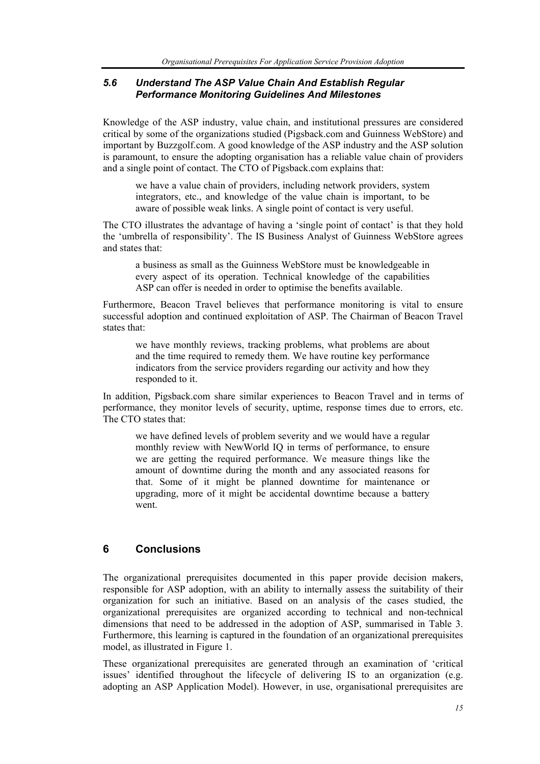#### *5.6 Understand The ASP Value Chain And Establish Regular Performance Monitoring Guidelines And Milestones*

Knowledge of the ASP industry, value chain, and institutional pressures are considered critical by some of the organizations studied (Pigsback.com and Guinness WebStore) and important by Buzzgolf.com. A good knowledge of the ASP industry and the ASP solution is paramount, to ensure the adopting organisation has a reliable value chain of providers and a single point of contact. The CTO of Pigsback.com explains that:

we have a value chain of providers, including network providers, system integrators, etc., and knowledge of the value chain is important, to be aware of possible weak links. A single point of contact is very useful.

The CTO illustrates the advantage of having a 'single point of contact' is that they hold the 'umbrella of responsibility'. The IS Business Analyst of Guinness WebStore agrees and states that:

a business as small as the Guinness WebStore must be knowledgeable in every aspect of its operation. Technical knowledge of the capabilities ASP can offer is needed in order to optimise the benefits available.

Furthermore, Beacon Travel believes that performance monitoring is vital to ensure successful adoption and continued exploitation of ASP. The Chairman of Beacon Travel states that:

we have monthly reviews, tracking problems, what problems are about and the time required to remedy them. We have routine key performance indicators from the service providers regarding our activity and how they responded to it.

In addition, Pigsback.com share similar experiences to Beacon Travel and in terms of performance, they monitor levels of security, uptime, response times due to errors, etc. The CTO states that:

we have defined levels of problem severity and we would have a regular monthly review with NewWorld IQ in terms of performance, to ensure we are getting the required performance. We measure things like the amount of downtime during the month and any associated reasons for that. Some of it might be planned downtime for maintenance or upgrading, more of it might be accidental downtime because a battery went.

## **6 Conclusions**

The organizational prerequisites documented in this paper provide decision makers, responsible for ASP adoption, with an ability to internally assess the suitability of their organization for such an initiative. Based on an analysis of the cases studied, the organizational prerequisites are organized according to technical and non-technical dimensions that need to be addressed in the adoption of ASP, summarised in Table 3. Furthermore, this learning is captured in the foundation of an organizational prerequisites model, as illustrated in Figure 1.

These organizational prerequisites are generated through an examination of 'critical issues' identified throughout the lifecycle of delivering IS to an organization (e.g. adopting an ASP Application Model). However, in use, organisational prerequisites are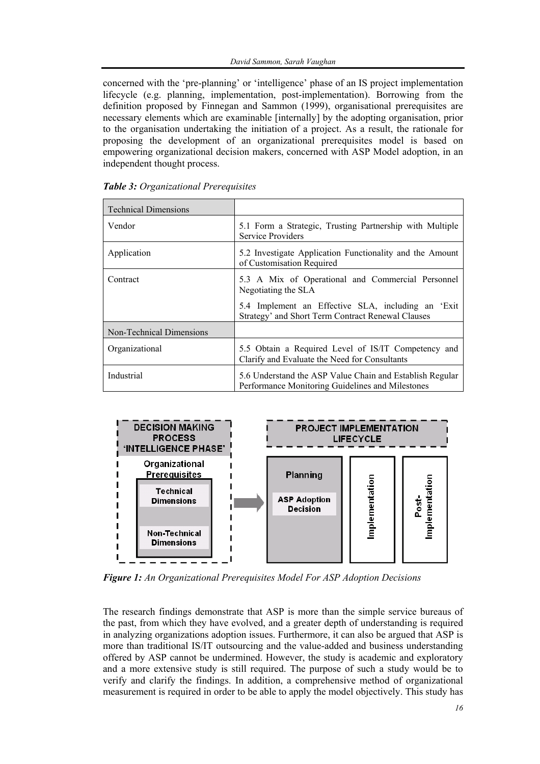concerned with the 'pre-planning' or 'intelligence' phase of an IS project implementation lifecycle (e.g. planning, implementation, post-implementation). Borrowing from the definition proposed by Finnegan and Sammon (1999), organisational prerequisites are necessary elements which are examinable [internally] by the adopting organisation, prior to the organisation undertaking the initiation of a project. As a result, the rationale for proposing the development of an organizational prerequisites model is based on empowering organizational decision makers, concerned with ASP Model adoption, in an independent thought process.

| <b>Technical Dimensions</b> |                                                                                                              |
|-----------------------------|--------------------------------------------------------------------------------------------------------------|
| Vendor                      | 5.1 Form a Strategic, Trusting Partnership with Multiple<br>Service Providers                                |
| Application                 | 5.2 Investigate Application Functionality and the Amount<br>of Customisation Required                        |
| Contract                    | 5.3 A Mix of Operational and Commercial Personnel<br>Negotiating the SLA                                     |
|                             | 5.4 Implement an Effective SLA, including an 'Exit<br>Strategy' and Short Term Contract Renewal Clauses      |
| Non-Technical Dimensions    |                                                                                                              |
| Organizational              | 5.5 Obtain a Required Level of IS/IT Competency and<br>Clarify and Evaluate the Need for Consultants         |
| Industrial                  | 5.6 Understand the ASP Value Chain and Establish Regular<br>Performance Monitoring Guidelines and Milestones |

|  | Table 3: Organizational Prerequisites |  |
|--|---------------------------------------|--|
|--|---------------------------------------|--|



*Figure 1: An Organizational Prerequisites Model For ASP Adoption Decisions*

The research findings demonstrate that ASP is more than the simple service bureaus of the past, from which they have evolved, and a greater depth of understanding is required in analyzing organizations adoption issues. Furthermore, it can also be argued that ASP is more than traditional IS/IT outsourcing and the value-added and business understanding offered by ASP cannot be undermined. However, the study is academic and exploratory and a more extensive study is still required. The purpose of such a study would be to verify and clarify the findings. In addition, a comprehensive method of organizational measurement is required in order to be able to apply the model objectively. This study has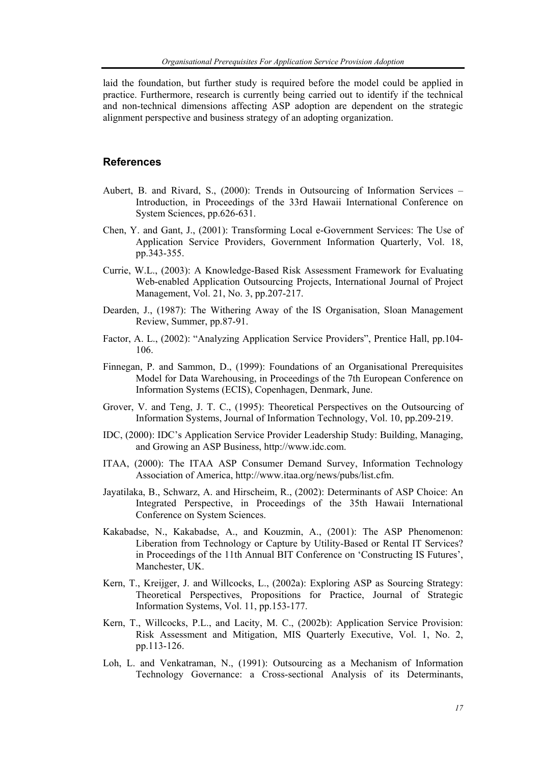laid the foundation, but further study is required before the model could be applied in practice. Furthermore, research is currently being carried out to identify if the technical and non-technical dimensions affecting ASP adoption are dependent on the strategic alignment perspective and business strategy of an adopting organization.

#### **References**

- Aubert, B. and Rivard, S., (2000): Trends in Outsourcing of Information Services Introduction, in Proceedings of the 33rd Hawaii International Conference on System Sciences, pp.626-631.
- Chen, Y. and Gant, J., (2001): Transforming Local e-Government Services: The Use of Application Service Providers, Government Information Quarterly, Vol. 18, pp.343-355.
- Currie, W.L., (2003): A Knowledge-Based Risk Assessment Framework for Evaluating Web-enabled Application Outsourcing Projects, International Journal of Project Management, Vol. 21, No. 3, pp.207-217.
- Dearden, J., (1987): The Withering Away of the IS Organisation, Sloan Management Review, Summer, pp.87-91.
- Factor, A. L., (2002): "Analyzing Application Service Providers", Prentice Hall, pp.104- 106.
- Finnegan, P. and Sammon, D., (1999): Foundations of an Organisational Prerequisites Model for Data Warehousing, in Proceedings of the 7th European Conference on Information Systems (ECIS), Copenhagen, Denmark, June.
- Grover, V. and Teng, J. T. C., (1995): Theoretical Perspectives on the Outsourcing of Information Systems, Journal of Information Technology, Vol. 10, pp.209-219.
- IDC, (2000): IDC's Application Service Provider Leadership Study: Building, Managing, and Growing an ASP Business, http://www.idc.com.
- ITAA, (2000): The ITAA ASP Consumer Demand Survey, Information Technology Association of America, http://www.itaa.org/news/pubs/list.cfm.
- Jayatilaka, B., Schwarz, A. and Hirscheim, R., (2002): Determinants of ASP Choice: An Integrated Perspective, in Proceedings of the 35th Hawaii International Conference on System Sciences.
- Kakabadse, N., Kakabadse, A., and Kouzmin, A., (2001): The ASP Phenomenon: Liberation from Technology or Capture by Utility-Based or Rental IT Services? in Proceedings of the 11th Annual BIT Conference on 'Constructing IS Futures', Manchester, UK.
- Kern, T., Kreijger, J. and Willcocks, L., (2002a): Exploring ASP as Sourcing Strategy: Theoretical Perspectives, Propositions for Practice, Journal of Strategic Information Systems, Vol. 11, pp.153-177.
- Kern, T., Willcocks, P.L., and Lacity, M. C., (2002b): Application Service Provision: Risk Assessment and Mitigation, MIS Quarterly Executive, Vol. 1, No. 2, pp.113-126.
- Loh, L. and Venkatraman, N., (1991): Outsourcing as a Mechanism of Information Technology Governance: a Cross-sectional Analysis of its Determinants,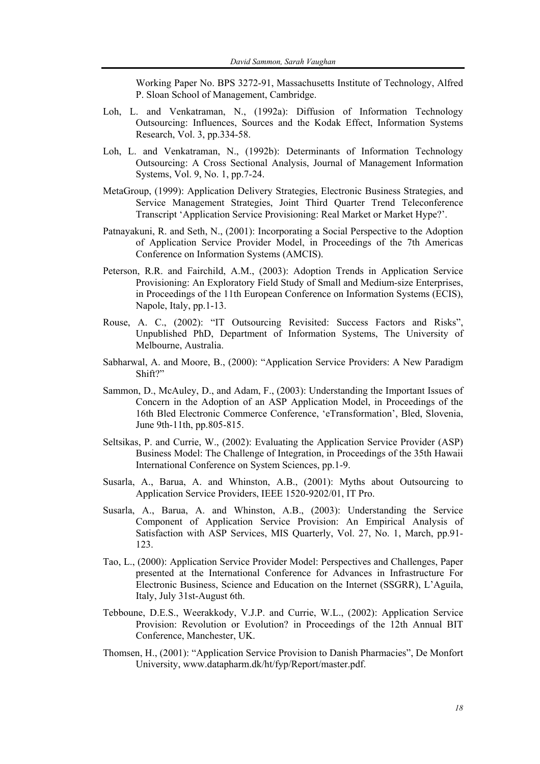Working Paper No. BPS 3272-91, Massachusetts Institute of Technology, Alfred P. Sloan School of Management, Cambridge.

- Loh, L. and Venkatraman, N., (1992a): Diffusion of Information Technology Outsourcing: Influences, Sources and the Kodak Effect, Information Systems Research, Vol. 3, pp.334-58.
- Loh, L. and Venkatraman, N., (1992b): Determinants of Information Technology Outsourcing: A Cross Sectional Analysis, Journal of Management Information Systems, Vol. 9, No. 1, pp.7-24.
- MetaGroup, (1999): Application Delivery Strategies, Electronic Business Strategies, and Service Management Strategies, Joint Third Quarter Trend Teleconference Transcript 'Application Service Provisioning: Real Market or Market Hype?'.
- Patnayakuni, R. and Seth, N., (2001): Incorporating a Social Perspective to the Adoption of Application Service Provider Model, in Proceedings of the 7th Americas Conference on Information Systems (AMCIS).
- Peterson, R.R. and Fairchild, A.M., (2003): Adoption Trends in Application Service Provisioning: An Exploratory Field Study of Small and Medium-size Enterprises, in Proceedings of the 11th European Conference on Information Systems (ECIS), Napole, Italy, pp.1-13.
- Rouse, A. C., (2002): "IT Outsourcing Revisited: Success Factors and Risks", Unpublished PhD, Department of Information Systems, The University of Melbourne, Australia.
- Sabharwal, A. and Moore, B., (2000): "Application Service Providers: A New Paradigm Shift?"
- Sammon, D., McAuley, D., and Adam, F., (2003): Understanding the Important Issues of Concern in the Adoption of an ASP Application Model, in Proceedings of the 16th Bled Electronic Commerce Conference, 'eTransformation', Bled, Slovenia, June 9th-11th, pp.805-815.
- Seltsikas, P. and Currie, W., (2002): Evaluating the Application Service Provider (ASP) Business Model: The Challenge of Integration, in Proceedings of the 35th Hawaii International Conference on System Sciences, pp.1-9.
- Susarla, A., Barua, A. and Whinston, A.B., (2001): Myths about Outsourcing to Application Service Providers, IEEE 1520-9202/01, IT Pro.
- Susarla, A., Barua, A. and Whinston, A.B., (2003): Understanding the Service Component of Application Service Provision: An Empirical Analysis of Satisfaction with ASP Services, MIS Quarterly, Vol. 27, No. 1, March, pp.91- 123.
- Tao, L., (2000): Application Service Provider Model: Perspectives and Challenges, Paper presented at the International Conference for Advances in Infrastructure For Electronic Business, Science and Education on the Internet (SSGRR), L'Aguila, Italy, July 31st-August 6th.
- Tebboune, D.E.S., Weerakkody, V.J.P. and Currie, W.L., (2002): Application Service Provision: Revolution or Evolution? in Proceedings of the 12th Annual BIT Conference, Manchester, UK.
- Thomsen, H., (2001): "Application Service Provision to Danish Pharmacies", De Monfort University, www.datapharm.dk/ht/fyp/Report/master.pdf.